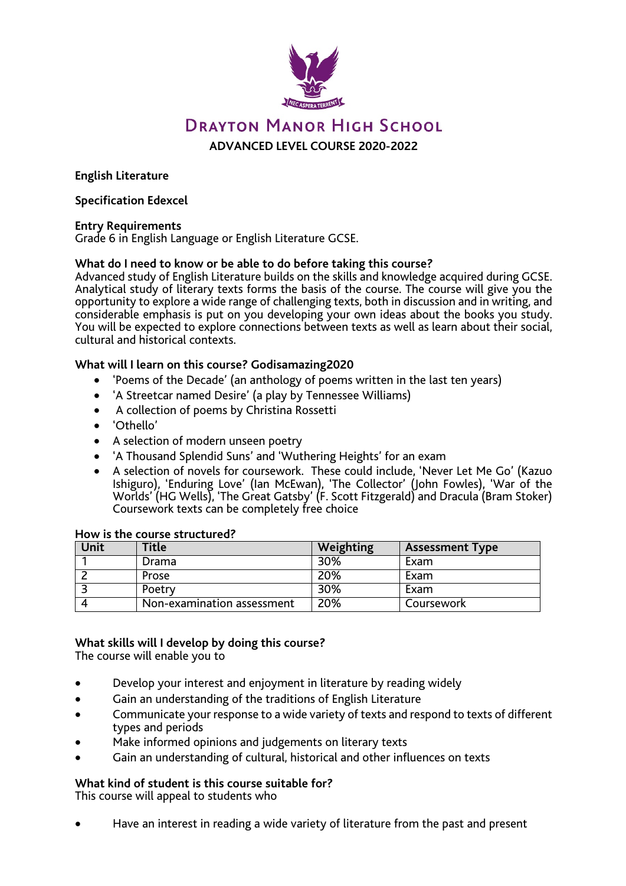

# **DRAYTON MANOR HIGH SCHOOL ADVANCED LEVEL COURSE 2020-2022**

**English Literature**

#### **Specification Edexcel**

#### **Entry Requirements**

Grade 6 in English Language or English Literature GCSE.

#### **What do I need to know or be able to do before taking this course?**

Advanced study of English Literature builds on the skills and knowledge acquired during GCSE. Analytical study of literary texts forms the basis of the course. The course will give you the opportunity to explore a wide range of challenging texts, both in discussion and in writing, and considerable emphasis is put on you developing your own ideas about the books you study. You will be expected to explore connections between texts as well as learn about their social, cultural and historical contexts.

#### **What will I learn on this course? Godisamazing2020**

- 'Poems of the Decade' (an anthology of poems written in the last ten years)
- 'A Streetcar named Desire' (a play by Tennessee Williams)
- A collection of poems by Christina Rossetti
- 'Othello'
- A selection of modern unseen poetry
- 'A Thousand Splendid Suns' and 'Wuthering Heights' for an exam
- <sup>A</sup> selection of novels for coursework. These could include, 'Never Let Me Go' (Kazuo Ishiguro), 'Enduring Love' (Ian McEwan), 'The Collector' (John Fowles), 'War of the Worlds' (HG Wells), 'The Great Gatsby' (F. Scott Fitzgerald) and Dracula (Bram Stoker) Coursework texts can be completely free choice

| <b>Unit</b> | Title                      | Weighting | <b>Assessment Type</b> |
|-------------|----------------------------|-----------|------------------------|
|             | Drama                      | 30%       | Exam                   |
|             | Prose                      | 20%       | Exam                   |
|             | Poetry                     | 30%       | Exam                   |
|             | Non-examination assessment | 20%       | Coursework             |

#### **How is the course structured?**

## **What skills will I develop by doing this course?**

The course will enable you to

- Develop your interest and enjoyment in literature by reading widely
- Gain an understanding of the traditions of English Literature
- Communicate your response to a wide variety of texts and respond to texts of different types and periods
- Make informed opinions and judgements on literary texts
- Gain an understanding of cultural, historical and other influences on texts

## **What kind of student is this course suitable for?**

This course will appeal to students who

• Have an interest in reading a wide variety of literature from the past and present